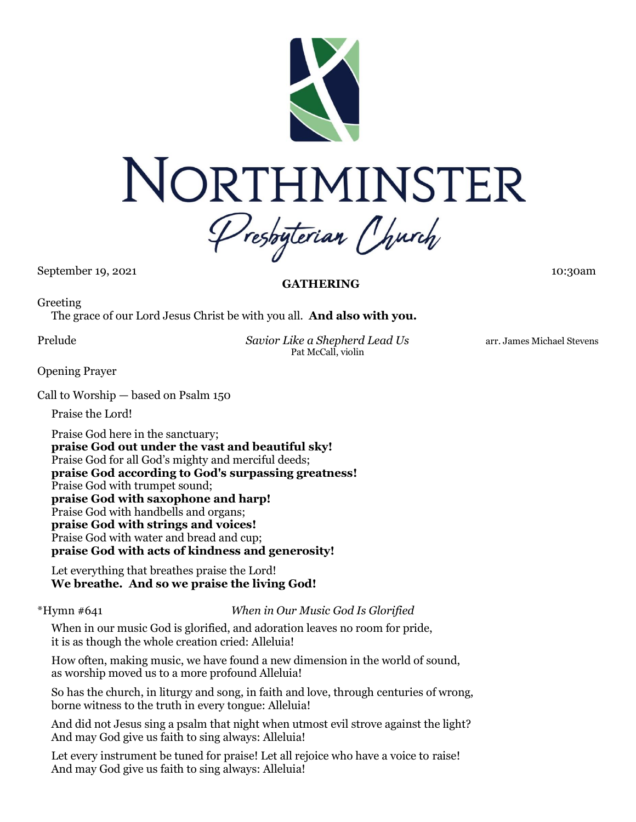

September 19, 2021 10:30am 10:30am 10:30am 10:30am 10:30am 10:30am 10:30am 10:30am

#### **GATHERING**

Greeting

The grace of our Lord Jesus Christ be with you all. **And also with you.**

Prelude *Savior Like a Shepherd Lead Us* arr. James Michael Stevens Pat McCall, violin

Opening Prayer

Call to Worship — based on Psalm 150

Praise the Lord!

Praise God here in the sanctuary; **praise God out under the vast and beautiful sky!** Praise God for all God's mighty and merciful deeds; **praise God according to God's surpassing greatness!** Praise God with trumpet sound; **praise God with saxophone and harp!** Praise God with handbells and organs; **praise God with strings and voices!** Praise God with water and bread and cup; **praise God with acts of kindness and generosity!**

Let everything that breathes praise the Lord! **We breathe. And so we praise the living God!**

# \*Hymn #641 *When in Our Music God Is Glorified*

When in our music God is glorified, and adoration leaves no room for pride, it is as though the whole creation cried: Alleluia!

How often, making music, we have found a new dimension in the world of sound, as worship moved us to a more profound Alleluia!

So has the church, in liturgy and song, in faith and love, through centuries of wrong, borne witness to the truth in every tongue: Alleluia!

And did not Jesus sing a psalm that night when utmost evil strove against the light? And may God give us faith to sing always: Alleluia!

Let every instrument be tuned for praise! Let all rejoice who have a voice to raise! And may God give us faith to sing always: Alleluia!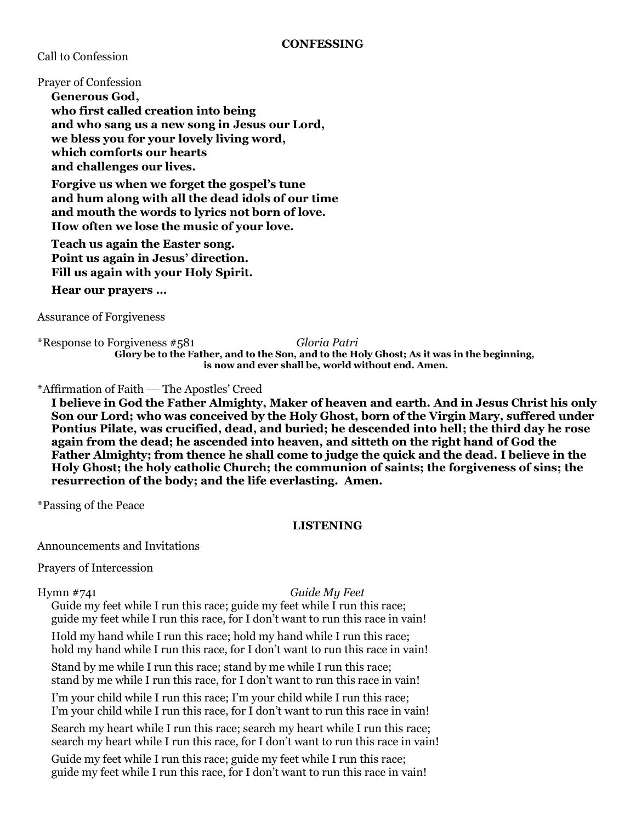Call to Confession

Prayer of Confession

**Generous God, who first called creation into being and who sang us a new song in Jesus our Lord, we bless you for your lovely living word, which comforts our hearts and challenges our lives.**

**Forgive us when we forget the gospel's tune and hum along with all the dead idols of our time and mouth the words to lyrics not born of love. How often we lose the music of your love.**

**Teach us again the Easter song. Point us again in Jesus' direction. Fill us again with your Holy Spirit.**

**Hear our prayers …**

Assurance of Forgiveness

\*Response to Forgiveness #581 *Gloria Patri* **Glory be to the Father, and to the Son, and to the Holy Ghost; As it was in the beginning, is now and ever shall be, world without end. Amen.**

# \*Affirmation of Faith — The Apostles' Creed

**I believe in God the Father Almighty, Maker of heaven and earth. And in Jesus Christ his only Son our Lord; who was conceived by the Holy Ghost, born of the Virgin Mary, suffered under Pontius Pilate, was crucified, dead, and buried; he descended into hell; the third day he rose again from the dead; he ascended into heaven, and sitteth on the right hand of God the Father Almighty; from thence he shall come to judge the quick and the dead. I believe in the Holy Ghost; the holy catholic Church; the communion of saints; the forgiveness of sins; the resurrection of the body; and the life everlasting. Amen.**

\*Passing of the Peace

# **LISTENING**

Announcements and Invitations

Prayers of Intercession

Hymn #741 *Guide My Feet*

Guide my feet while I run this race; guide my feet while I run this race; guide my feet while I run this race, for I don't want to run this race in vain!

Hold my hand while I run this race; hold my hand while I run this race; hold my hand while I run this race, for I don't want to run this race in vain!

Stand by me while I run this race; stand by me while I run this race; stand by me while I run this race, for I don't want to run this race in vain!

I'm your child while I run this race; I'm your child while I run this race; I'm your child while I run this race, for I don't want to run this race in vain!

Search my heart while I run this race; search my heart while I run this race; search my heart while I run this race, for I don't want to run this race in vain!

Guide my feet while I run this race; guide my feet while I run this race; guide my feet while I run this race, for I don't want to run this race in vain!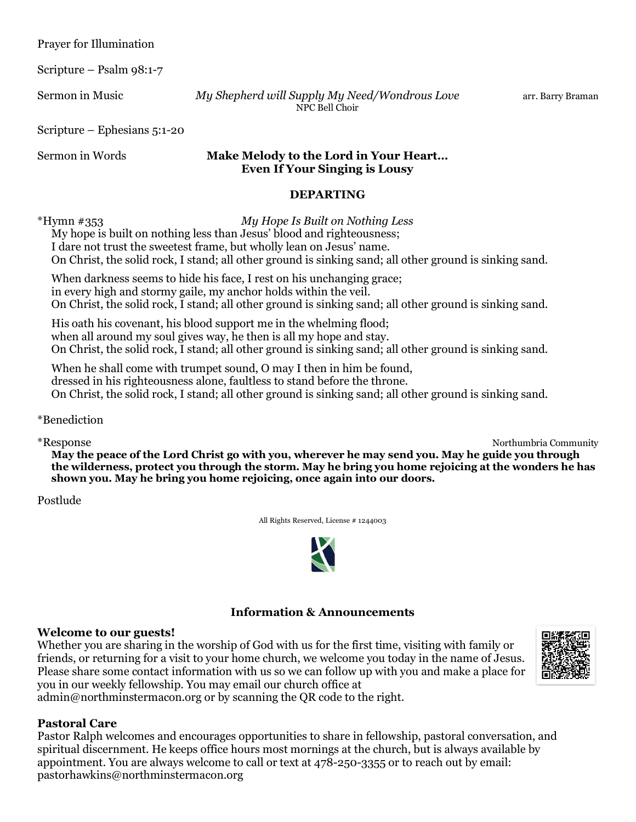Prayer for Illumination

Scripture – Psalm 98:1-7

Sermon in Music *My Shepherd will Supply My Need/Wondrous Love* arr. Barry Braman NPC Bell Choir

Scripture – Ephesians 5:1-20

#### Sermon in Words **Make Melody to the Lord in Your Heart… Even If Your Singing is Lousy**

# **DEPARTING**

\*Hymn #353 *My Hope Is Built on Nothing Less*

My hope is built on nothing less than Jesus' blood and righteousness; I dare not trust the sweetest frame, but wholly lean on Jesus' name. On Christ, the solid rock, I stand; all other ground is sinking sand; all other ground is sinking sand.

When darkness seems to hide his face, I rest on his unchanging grace; in every high and stormy gaile, my anchor holds within the veil. On Christ, the solid rock, I stand; all other ground is sinking sand; all other ground is sinking sand.

His oath his covenant, his blood support me in the whelming flood; when all around my soul gives way, he then is all my hope and stay. On Christ, the solid rock, I stand; all other ground is sinking sand; all other ground is sinking sand.

When he shall come with trumpet sound, O may I then in him be found, dressed in his righteousness alone, faultless to stand before the throne. On Christ, the solid rock, I stand; all other ground is sinking sand; all other ground is sinking sand.

\*Benediction

\*Response Northumbria Community **May the peace of the Lord Christ go with you, wherever he may send you. May he guide you through the wilderness, protect you through the storm. May he bring you home rejoicing at the wonders he has shown you. May he bring you home rejoicing, once again into our doors.**

Postlude

All Rights Reserved, License # 1244003



# **Information & Announcements**

# **Welcome to our guests!**

Whether you are sharing in the worship of God with us for the first time, visiting with family or friends, or returning for a visit to your home church, we welcome you today in the name of Jesus. Please share some contact information with us so we can follow up with you and make a place for you in our weekly fellowship. You may email our church office at admin@northminstermacon.org or by scanning the QR code to the right.



**Pastoral Care** 

Pastor Ralph welcomes and encourages opportunities to share in fellowship, pastoral conversation, and spiritual discernment. He keeps office hours most mornings at the church, but is always available by appointment. You are always welcome to call or text at 478-250-3355 or to reach out by email: pastorhawkins@northminstermacon.org